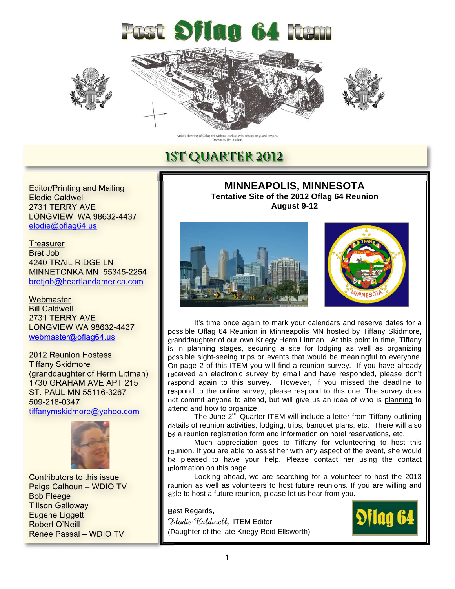







ing of Oflag 64 without barbed-wire<br>Drawn by Jim Bickers

## **1ST QUARTER 2012**

Editor/Printing and Mailing Elodie Caldwell 2731 TERRY AVE LONGVIEW WA 98632-4437 elodie@oflag64.us

**Treasurer** Bret Job 4240 TRAIL RIDGE LN MINNETONKA MN 55345-2254 bretjob@heartlandamerica.com

**Webmaster** Bill Caldwell 2731 TERRY AVE LONGVIEW WA 98632-4437 webmaster@oflag64.us

2012 Reunion Hostess Tiffany Skidmore (granddaughter of Herm Littman) 1730 GRAHAM AVE APT 215 ST. PAUL MN 55116-3267 509-218-0347 tiffanymskidmore@yahoo.com



Contributors to this issue Paige Calhoun – WDIO TV Bob Fleege Tillson Galloway Eugene Liggett Robert O'Neill Renee Passal – WDIO TV

**MINNEAPOLIS, MINNESOTA Tentative Site of the 2012 Oflag 64 Reunion August 9-12** 





It's time once again to mark your calendars and reserve dates for a possible Oflag 64 Reunion in Minneapolis MN hosted by Tiffany Skidmore, granddaughter of our own Kriegy Herm Littman. At this point in time, Tiffany is in planning stages, securing a site for lodging as well as organizing possible sight-seeing trips or events that would be meaningful to everyone. On page 2 of this ITEM you will find a reunion survey. If you have already received an electronic survey by email and have responded, please don't respond again to this survey. However, if you missed the deadline to respond to the online survey, please respond to this one. The survey does not commit anyone to attend, but will give us an idea of who is planning to attend and how to organize.

The June  $2^{nd}$  Quarter ITEM will include a letter from Tiffany outlining details of reunion activities; lodging, trips, banquet plans, etc. There will also be a reunion registration form and information on hotel reservations, etc.

Much appreciation goes to Tiffany for volunteering to host this reunion. If you are able to assist her with any aspect of the event, she would be pleased to have your help. Please contact her using the contact information on this page.

Looking ahead, we are searching for a volunteer to host the 2013 reunion as well as volunteers to host future reunions. If you are willing and able to host a future reunion, please let us hear from you.

Best Regards, Elodie Caldwell, ITEM Editor (Daughter of the late Kriegy Reid Ellsworth)

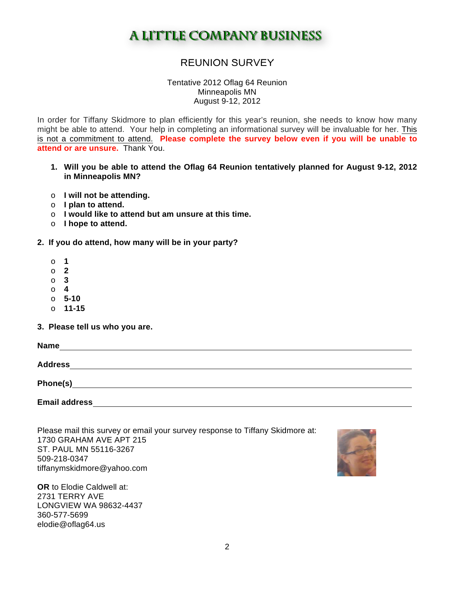## **A LITTLE COMPANY BUSINESS**

### REUNION SURVEY

Tentative 2012 Oflag 64 Reunion Minneapolis MN August 9-12, 2012

In order for Tiffany Skidmore to plan efficiently for this year's reunion, she needs to know how many might be able to attend. Your help in completing an informational survey will be invaluable for her. This is not a commitment to attend. **Please complete the survey below even if you will be unable to attend or are unsure.** Thank You.

- **1. Will you be able to attend the Oflag 64 Reunion tentatively planned for August 9-12, 2012 in Minneapolis MN?**
- o **I will not be attending.**
- o **I plan to attend.**
- o **I would like to attend but am unsure at this time.**
- o **I hope to attend.**
- **2. If you do attend, how many will be in your party?** 
	- o **1**
	- o **2**
	- o **3**
	- o **4**
	- o **5-10**
	- o **11-15**
- **3. Please tell us who you are.**

| <b>Name</b>          |  |  |
|----------------------|--|--|
| <b>Address</b>       |  |  |
| Phone(s)             |  |  |
| <b>Email address</b> |  |  |

Please mail this survey or email your survey response to Tiffany Skidmore at: 1730 GRAHAM AVE APT 215 ST. PAUL MN 55116-3267 509-218-0347 tiffanymskidmore@yahoo.com

**OR** to Elodie Caldwell at: 2731 TERRY AVE LONGVIEW WA 98632-4437 360-577-5699 elodie@oflag64.us

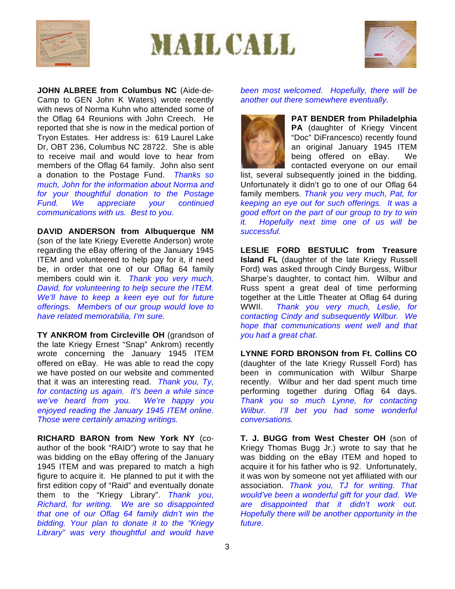





**JOHN ALBREE from Columbus NC** (Aide-de-Camp to GEN John K Waters) wrote recently with news of Norma Kuhn who attended some of the Oflag 64 Reunions with John Creech. He reported that she is now in the medical portion of Tryon Estates. Her address is: 619 Laurel Lake Dr, OBT 236, Columbus NC 28722. She is able to receive mail and would love to hear from members of the Oflag 64 family. John also sent a donation to the Postage Fund. *Thanks so much, John for the information about Norma and for your thoughtful donation to the Postage Fund. We appreciate your continued communications with us. Best to you.*

**DAVID ANDERSON from Albuquerque NM**  (son of the late Kriegy Everette Anderson) wrote regarding the eBay offering of the January 1945 ITEM and volunteered to help pay for it, if need be, in order that one of our Oflag 64 family members could win it. *Thank you very much, David, for volunteering to help secure the ITEM. We'll have to keep a keen eye out for future offerings. Members of our group would love to have related memorabilia, I'm sure.* 

**TY ANKROM from Circleville OH** (grandson of the late Kriegy Ernest "Snap" Ankrom) recently wrote concerning the January 1945 ITEM offered on eBay. He was able to read the copy we have posted on our website and commented that it was an interesting read. *Thank you, Ty, for contacting us again. It's been a while since we've heard from you. We're happy you enjoyed reading the January 1945 ITEM online. Those were certainly amazing writings.* 

**RICHARD BARON from New York NY** (coauthor of the book "RAID") wrote to say that he was bidding on the eBay offering of the January 1945 ITEM and was prepared to match a high figure to acquire it. He planned to put it with the first edition copy of "Raid" and eventually donate them to the "Kriegy Library". *Thank you, Richard, for writing. We are so disappointed that one of our Oflag 64 family didn't win the bidding. Your plan to donate it to the "Kriegy Library" was very thoughtful and would have* 

*been most welcomed. Hopefully, there will be another out there somewhere eventually.* 



**PAT BENDER from Philadelphia PA** (daughter of Kriegy Vincent "Doc" DiFrancesco) recently found an original January 1945 ITEM being offered on eBay. We contacted everyone on our email

list, several subsequently joined in the bidding. Unfortunately it didn't go to one of our Oflag 64 family members. *Thank you very much, Pat, for keeping an eye out for such offerings. It was a good effort on the part of our group to try to win it. Hopefully next time one of us will be successful.* 

**LESLIE FORD BESTULIC from Treasure Island FL** (daughter of the late Kriegy Russell Ford) was asked through Cindy Burgess, Wilbur Sharpe's daughter, to contact him. Wilbur and Russ spent a great deal of time performing together at the Little Theater at Oflag 64 during WWII. *Thank you very much, Leslie, for contacting Cindy and subsequently Wilbur. We hope that communications went well and that you had a great chat.* 

**LYNNE FORD BRONSON from Ft. Collins CO** (daughter of the late Kriegy Russell Ford) has been in communication with Wilbur Sharpe recently. Wilbur and her dad spent much time performing together during Oflag 64 days. *Thank you so much Lynne, for contacting Wilbur. I'll bet you had some wonderful conversations.* 

**T. J. BUGG from West Chester OH** (son of Kriegy Thomas Bugg Jr.) wrote to say that he was bidding on the eBay ITEM and hoped to acquire it for his father who is 92. Unfortunately, it was won by someone not yet affiliated with our association. *Thank you, TJ for writing. That would've been a wonderful gift for your dad. We are disappointed that it didn't work out. Hopefully there will be another opportunity in the future.*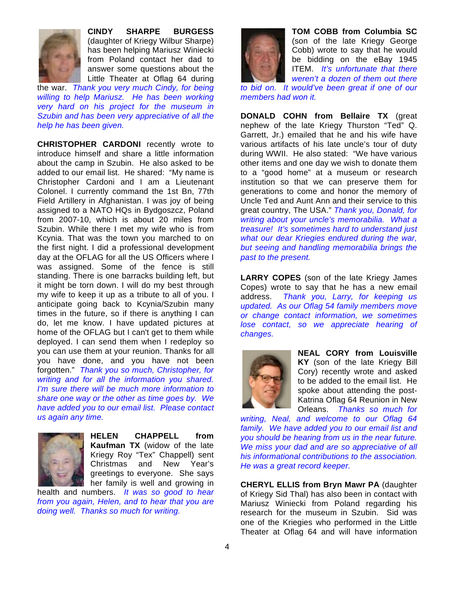

**CINDY SHARPE BURGESS**  (daughter of Kriegy Wilbur Sharpe) has been helping Mariusz Winiecki from Poland contact her dad to answer some questions about the Little Theater at Oflag 64 during

the war. *Thank you very much Cindy, for being willing to help Mariusz. He has been working very hard on his project for the museum in Szubin and has been very appreciative of all the help he has been given.* 

**CHRISTOPHER CARDONI** recently wrote to introduce himself and share a little information about the camp in Szubin. He also asked to be added to our email list. He shared: "My name is Christopher Cardoni and I am a Lieutenant Colonel. I currently command the 1st Bn, 77th Field Artillery in Afghanistan. I was joy of being assigned to a NATO HQs in Bydgoszcz, Poland from 2007-10, which is about 20 miles from Szubin. While there I met my wife who is from Kcynia. That was the town you marched to on the first night. I did a professional development day at the OFLAG for all the US Officers where I was assigned. Some of the fence is still standing. There is one barracks building left, but it might be torn down. I will do my best through my wife to keep it up as a tribute to all of you. I anticipate going back to Kcynia/Szubin many times in the future, so if there is anything I can do, let me know. I have updated pictures at home of the OFLAG but I can't get to them while deployed. I can send them when I redeploy so you can use them at your reunion. Thanks for all you have done, and you have not been forgotten." *Thank you so much, Christopher, for writing and for all the information you shared. I'm sure there will be much more information to share one way or the other as time goes by. We have added you to our email list. Please contact us again any time.* 



**HELEN CHAPPELL from Kaufman TX** (widow of the late Kriegy Roy "Tex" Chappell) sent Christmas and New Year's greetings to everyone. She says her family is well and growing in

health and numbers. *It was so good to hear from you again, Helen, and to hear that you are doing well. Thanks so much for writing.* 



**TOM COBB from Columbia SC**  (son of the late Kriegy George Cobb) wrote to say that he would be bidding on the eBay 1945 ITEM. *It's unfortunate that there weren't a dozen of them out there* 

*to bid on. It would've been great if one of our members had won it.* 

**DONALD COHN from Bellaire TX** (great nephew of the late Kriegy Thurston "Ted" Q. Garrett, Jr.) emailed that he and his wife have various artifacts of his late uncle's tour of duty during WWII. He also stated: "We have various other items and one day we wish to donate them to a "good home" at a museum or research institution so that we can preserve them for generations to come and honor the memory of Uncle Ted and Aunt Ann and their service to this great country, The USA." *Thank you, Donald, for writing about your uncle's memorabilia. What a treasure! It's sometimes hard to understand just what our dear Kriegies endured during the war, but seeing and handling memorabilia brings the past to the present.* 

**LARRY COPES** (son of the late Kriegy James Copes) wrote to say that he has a new email address. *Thank you, Larry, for keeping us updated. As our Oflag 54 family members move or change contact information, we sometimes lose contact, so we appreciate hearing of changes.* 



**NEAL CORY from Louisville KY** (son of the late Kriegy Bill Cory) recently wrote and asked to be added to the email list. He spoke about attending the post-Katrina Oflag 64 Reunion in New Orleans. *Thanks so much for* 

*writing, Neal, and welcome to our Oflag 64 family. We have added you to our email list and you should be hearing from us in the near future. We miss your dad and are so appreciative of all his informational contributions to the association. He was a great record keeper.*

**CHERYL ELLIS from Bryn Mawr PA** (daughter of Kriegy Sid Thal) has also been in contact with Mariusz Winiecki from Poland regarding his research for the museum in Szubin. Sid was one of the Kriegies who performed in the Little Theater at Oflag 64 and will have information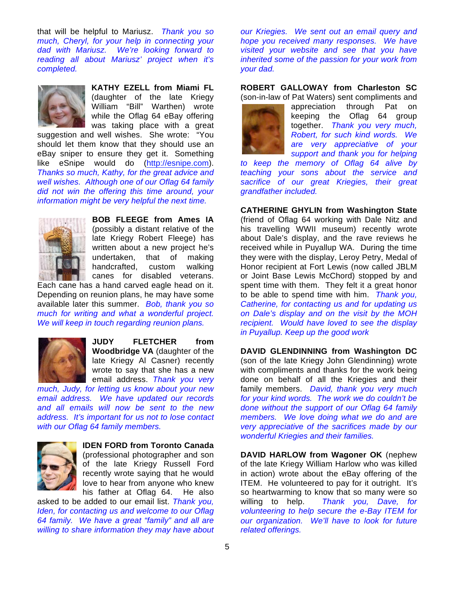that will be helpful to Mariusz. *Thank you so much, Cheryl, for your help in connecting your dad with Mariusz. We're looking forward to reading all about Mariusz' project when it's completed.* 



**KATHY EZELL from Miami FL**  (daughter of the late Kriegy William "Bill" Warthen) wrote while the Oflag 64 eBay offering was taking place with a great

suggestion and well wishes. She wrote: "You should let them know that they should use an eBay sniper to ensure they get it. Something like eSnipe would do (http://esnipe.com). *Thanks so much, Kathy, for the great advice and well wishes. Although one of our Oflag 64 family did not win the offering this time around, your information might be very helpful the next time.* 



**BOB FLEEGE from Ames IA**  (possibly a distant relative of the late Kriegy Robert Fleege) has written about a new project he's undertaken, that of making handcrafted, custom walking canes for disabled veterans.

Each cane has a hand carved eagle head on it. Depending on reunion plans, he may have some available later this summer. *Bob, thank you so much for writing and what a wonderful project. We will keep in touch regarding reunion plans.* 



**JUDY FLETCHER from Woodbridge VA** (daughter of the late Kriegy Al Casner) recently wrote to say that she has a new email address. *Thank you very* 

*much, Judy, for letting us know about your new email address. We have updated our records and all emails will now be sent to the new address. It's important for us not to lose contact with our Oflag 64 family members.* 



**IDEN FORD from Toronto Canada**  (professional photographer and son of the late Kriegy Russell Ford recently wrote saying that he would love to hear from anyone who knew

his father at Oflag 64. He also asked to be added to our email list. *Thank you, Iden, for contacting us and welcome to our Oflag 64 family. We have a great "family" and all are willing to share information they may have about* 

*our Kriegies. We sent out an email query and hope you received many responses. We have visited your website and see that you have inherited some of the passion for your work from your dad.* 

**ROBERT GALLOWAY from Charleston SC** (son-in-law of Pat Waters) sent compliments and



appreciation through Pat on keeping the Oflag 64 group together. *Thank you very much, Robert, for such kind words. We are very appreciative of your support and thank you for helping* 

*to keep the memory of Oflag 64 alive by teaching your sons about the service and sacrifice of our great Kriegies, their great grandfather included.* 

**CATHERINE GHYLIN from Washington State** (friend of Oflag 64 working with Dale Nitz and his travelling WWII museum) recently wrote about Dale's display, and the rave reviews he received while in Puyallup WA. During the time they were with the display, Leroy Petry, Medal of Honor recipient at Fort Lewis (now called JBLM or Joint Base Lewis McChord) stopped by and spent time with them. They felt it a great honor to be able to spend time with him. *Thank you, Catherine, for contacting us and for updating us on Dale's display and on the visit by the MOH recipient. Would have loved to see the display in Puyallup. Keep up the good work*

**DAVID GLENDINNING from Washington DC**  (son of the late Kriegy John Glendinning) wrote with compliments and thanks for the work being done on behalf of all the Kriegies and their family members. *David, thank you very much for your kind words. The work we do couldn't be done without the support of our Oflag 64 family members. We love doing what we do and are very appreciative of the sacrifices made by our wonderful Kriegies and their families.* 

**DAVID HARLOW from Wagoner OK** (nephew of the late Kriegy William Harlow who was killed in action) wrote about the eBay offering of the ITEM. He volunteered to pay for it outright. It's so heartwarming to know that so many were so willing to help. *Thank you, Dave, for volunteering to help secure the e-Bay ITEM for our organization. We'll have to look for future related offerings.*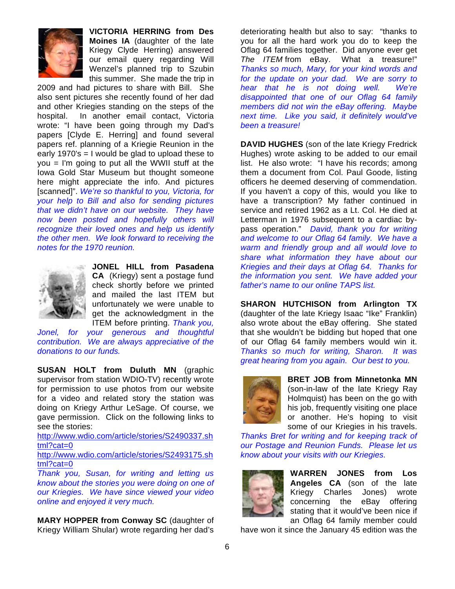

**VICTORIA HERRING from Des Moines IA** (daughter of the late Kriegy Clyde Herring) answered our email query regarding Will Wenzel's planned trip to Szubin this summer. She made the trip in

2009 and had pictures to share with Bill. She also sent pictures she recently found of her dad and other Kriegies standing on the steps of the hospital. In another email contact, Victoria wrote: "I have been going through my Dad's papers [Clyde E. Herring] and found several papers ref. planning of a Kriegie Reunion in the early 1970's = I would be glad to upload these to you = I'm going to put all the WWII stuff at the Iowa Gold Star Museum but thought someone here might appreciate the info. And pictures [scanned]". *We're so thankful to you, Victoria, for your help to Bill and also for sending pictures that we didn't have on our website. They have now been posted and hopefully others will recognize their loved ones and help us identify the other men. We look forward to receiving the notes for the 1970 reunion.* 



**JONEL HILL from Pasadena CA** (Kriegy) sent a postage fund check shortly before we printed and mailed the last ITEM but unfortunately we were unable to get the acknowledgment in the ITEM before printing. *Thank you,* 

*Jonel, for your generous and thoughtful contribution. We are always appreciative of the donations to our funds.* 

**SUSAN HOLT from Duluth MN** (graphic supervisor from station WDIO-TV) recently wrote for permission to use photos from our website for a video and related story the station was doing on Kriegy Arthur LeSage. Of course, we gave permission. Click on the following links to see the stories:

http://www.wdio.com/article/stories/S2490337.sh tml?cat=0

http://www.wdio.com/article/stories/S2493175.sh tml?cat=0

*Thank you, Susan, for writing and letting us know about the stories you were doing on one of our Kriegies. We have since viewed your video online and enjoyed it very much.* 

**MARY HOPPER from Conway SC** (daughter of Kriegy William Shular) wrote regarding her dad's

deteriorating health but also to say: "thanks to you for all the hard work you do to keep the Oflag 64 families together. Did anyone ever get *The ITEM* from eBay. What a treasure!" *Thanks so much, Mary, for your kind words and for the update on your dad. We are sorry to hear that he is not doing well. We're disappointed that one of our Oflag 64 family members did not win the eBay offering. Maybe next time. Like you said, it definitely would've been a treasure!*

**DAVID HUGHES** (son of the late Kriegy Fredrick Hughes) wrote asking to be added to our email list. He also wrote: "I have his records; among them a document from Col. Paul Goode, listing officers he deemed deserving of commendation. If you haven't a copy of this, would you like to have a transcription? My father continued in service and retired 1962 as a Lt. Col. He died at Letterman in 1976 subsequent to a cardiac bypass operation." *David, thank you for writing and welcome to our Oflag 64 family. We have a warm and friendly group and all would love to share what information they have about our Kriegies and their days at Oflag 64. Thanks for the information you sent. We have added your father's name to our online TAPS list.* 

**SHARON HUTCHISON from Arlington TX**  (daughter of the late Kriegy Isaac "Ike" Franklin) also wrote about the eBay offering. She stated that she wouldn't be bidding but hoped that one of our Oflag 64 family members would win it. *Thanks so much for writing, Sharon. It was great hearing from you again. Our best to you.* 



**BRET JOB from Minnetonka MN** (son-in-law of the late Kriegy Ray Holmquist) has been on the go with his job, frequently visiting one place or another. He's hoping to visit some of our Kriegies in his travels.

*Thanks Bret for writing and for keeping track of our Postage and Reunion Funds. Please let us know about your visits with our Kriegies.* 



**WARREN JONES from Los Angeles CA** (son of the late Kriegy Charles Jones) wrote concerning the eBay offering stating that it would've been nice if an Oflag 64 family member could

have won it since the January 45 edition was the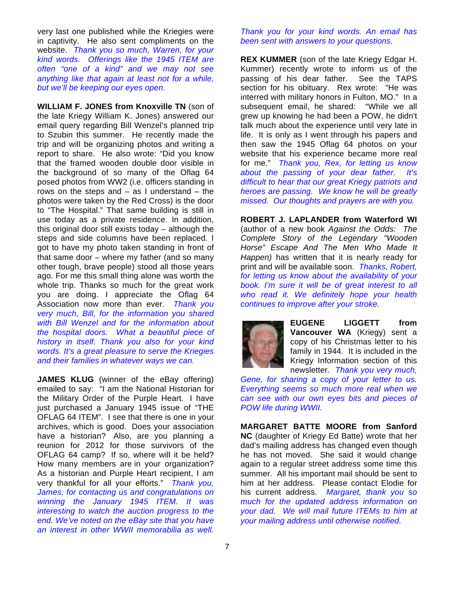very last one published while the Kriegies were in captivity. He also sent compliments on the website. *Thank you so much, Warren, for your kind words. Offerings like the 1945 ITEM are often "one of a kind" and we may not see anything like that again at least not for a while, but we'll be keeping our eyes open.* 

**WILLIAM F. JONES from Knoxville TN** (son of the late Kriegy William K. Jones) answered our email query regarding Bill Wenzel's planned trip to Szubin this summer. He recently made the trip and will be organizing photos and writing a report to share. He also wrote: "Did you know that the framed wooden double door visible in the background of so many of the Oflag 64 posed photos from WW2 (i.e. officers standing in rows on the steps and  $-$  as I understand  $-$  the photos were taken by the Red Cross) is the door to "The Hospital." That same building is still in use today as a private residence. In addition, this original door still exists today – although the steps and side columns have been replaced. I got to have my photo taken standing in front of that same door – where my father (and so many other tough, brave people) stood all those years ago. For me this small thing alone was worth the whole trip. Thanks so much for the great work you are doing. I appreciate the Oflag 64 Association now more than ever. *Thank you very much, Bill, for the information you shared with Bill Wenzel and for the information about the hospital doors. What a beautiful piece of history in itself. Thank you also for your kind words. It's a great pleasure to serve the Kriegies and their families in whatever ways we can.* 

**JAMES KLUG** (winner of the eBay offering) emailed to say: "I am the National Historian for the Military Order of the Purple Heart. I have just purchased a January 1945 issue of "THE OFLAG 64 ITEM". I see that there is one in your archives, which is good. Does your association have a historian? Also, are you planning a reunion for 2012 for those survivors of the OFLAG 64 camp? If so, where will it be held? How many members are in your organization? As a historian and Purple Heart recipient, I am very thankful for all your efforts." *Thank you, James, for contacting us and congratulations on winning the January 1945 ITEM. It was interesting to watch the auction progress to the end. We've noted on the eBay site that you have an interest in other WWII memorabilia as well.* 

#### *Thank you for your kind words. An email has been sent with answers to your questions.*

**REX KUMMER** (son of the late Kriegy Edgar H. Kummer) recently wrote to inform us of the passing of his dear father. See the TAPS section for his obituary. Rex wrote: "He was interred with military honors in Fulton, MO." In a subsequent email, he shared: "While we all grew up knowing he had been a POW, he didn't talk much about the experience until very late in life. It is only as I went through his papers and then saw the 1945 Oflag 64 photos on your website that his experience became more real for me." *Thank you, Rex, for letting us know about the passing of your dear father. It's difficult to hear that our great Kriegy patriots and heroes are passing. We know he will be greatly missed. Our thoughts and prayers are with you.* 

**ROBERT J. LAPLANDER from Waterford WI** (author of a new book *Against the Odds: The Complete Story of the Legendary "Wooden Horse" Escape And The Men Who Made It Happen)* has written that it is nearly ready for print and will be available soon. *Thanks, Robert, for letting us know about the availability of your book. I'm sure it will be of great interest to all who read it. We definitely hope your health continues to improve after your stroke.*



**EUGENE LIGGETT from Vancouver WA** (Kriegy) sent a copy of his Christmas letter to his family in 1944. It is included in the Kriegy Information section of this newsletter. *Thank you very much,* 

*Gene, for sharing a copy of your letter to us. Everything seems so much more real when we can see with our own eyes bits and pieces of POW life during WWII.* 

**MARGARET BATTE MOORE from Sanford NC** (daughter of Kriegy Ed Batte) wrote that her dad's mailing address has changed even though he has not moved. She said it would change again to a regular street address some time this summer. All his important mail should be sent to him at her address. Please contact Elodie for his current address. *Margaret, thank you so much for the updated address information on your dad. We will mail future ITEMs to him at your mailing address until otherwise notified.*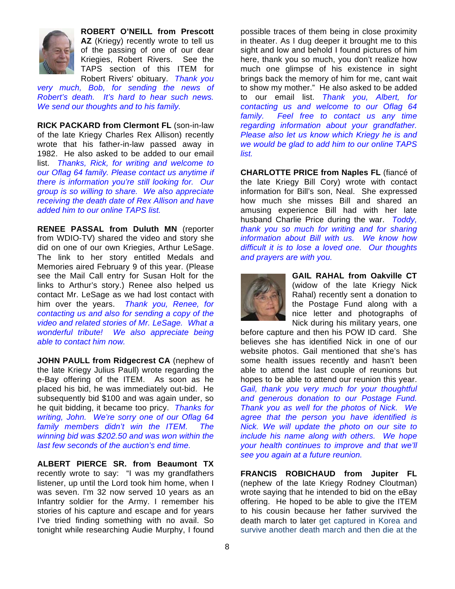

**ROBERT O'NEILL from Prescott AZ** (Kriegy) recently wrote to tell us of the passing of one of our dear Kriegies, Robert Rivers. See the TAPS section of this ITEM for Robert Rivers' obituary. *Thank you* 

*very much, Bob, for sending the news of Robert's death. It's hard to hear such news. We send our thoughts and to his family.* 

**RICK PACKARD from Clermont FL** (son-in-law of the late Kriegy Charles Rex Allison) recently wrote that his father-in-law passed away in 1982. He also asked to be added to our email list. *Thanks, Rick, for writing and welcome to our Oflag 64 family. Please contact us anytime if there is information you're still looking for. Our group is so willing to share. We also appreciate receiving the death date of Rex Allison and have added him to our online TAPS list.* 

**RENEE PASSAL from Duluth MN** (reporter from WDIO-TV) shared the video and story she did on one of our own Kriegies, Arthur LeSage. The link to her story entitled Medals and Memories aired February 9 of this year. (Please see the Mail Call entry for Susan Holt for the links to Arthur's story.) Renee also helped us contact Mr. LeSage as we had lost contact with him over the years. *Thank you, Renee, for contacting us and also for sending a copy of the video and related stories of Mr. LeSage. What a wonderful tribute! We also appreciate being able to contact him now.* 

**JOHN PAULL from Ridgecrest CA** (nephew of the late Kriegy Julius Paull) wrote regarding the e-Bay offering of the ITEM. As soon as he placed his bid, he was immediately out-bid. He subsequently bid \$100 and was again under, so he quit bidding, it became too pricy. *Thanks for writing, John. We're sorry one of our Oflag 64 family members didn't win the ITEM. The winning bid was \$202.50 and was won within the last few seconds of the auction's end time.* 

**ALBERT PIERCE SR. from Beaumont TX** recently wrote to say: "I was my grandfathers listener, up until the Lord took him home, when I was seven. I'm 32 now served 10 years as an Infantry soldier for the Army. I remember his stories of his capture and escape and for years I've tried finding something with no avail. So tonight while researching Audie Murphy, I found

possible traces of them being in close proximity in theater. As I dug deeper it brought me to this sight and low and behold I found pictures of him here, thank you so much, you don't realize how much one glimpse of his existence in sight brings back the memory of him for me, cant wait to show my mother." He also asked to be added to our email list. *Thank you, Albert, for contacting us and welcome to our Oflag 64 family. Feel free to contact us any time regarding information about your grandfather. Please also let us know which Kriegy he is and we would be glad to add him to our online TAPS list.* 

**CHARLOTTE PRICE from Naples FL** (fiancé of the late Kriegy Bill Cory) wrote with contact information for Bill's son, Neal. She expressed how much she misses Bill and shared an amusing experience Bill had with her late husband Charlie Price during the war. *Toddy, thank you so much for writing and for sharing information about Bill with us. We know how difficult it is to lose a loved one. Our thoughts and prayers are with you.* 



**GAIL RAHAL from Oakville CT**  (widow of the late Kriegy Nick Rahal) recently sent a donation to the Postage Fund along with a nice letter and photographs of Nick during his military years, one

before capture and then his POW ID card. She believes she has identified Nick in one of our website photos. Gail mentioned that she's has some health issues recently and hasn't been able to attend the last couple of reunions but hopes to be able to attend our reunion this year. *Gail, thank you very much for your thoughtful and generous donation to our Postage Fund. Thank you as well for the photos of Nick. We agree that the person you have identified is Nick. We will update the photo on our site to include his name along with others. We hope your health continues to improve and that we'll see you again at a future reunion.* 

**FRANCIS ROBICHAUD from Jupiter FL**  (nephew of the late Kriegy Rodney Cloutman) wrote saying that he intended to bid on the eBay offering. He hoped to be able to give the ITEM to his cousin because her father survived the death march to later get captured in Korea and survive another death march and then die at the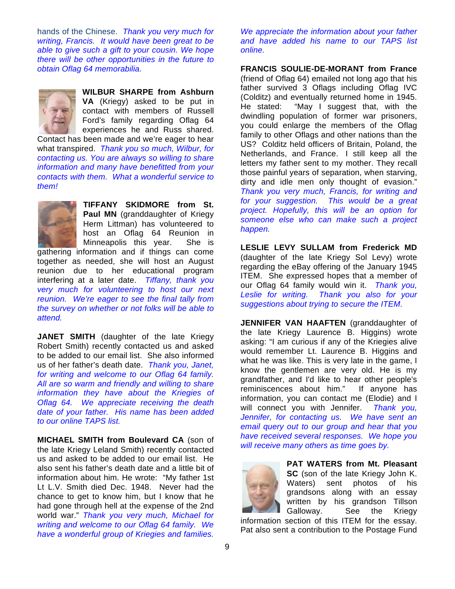hands of the Chinese. *Thank you very much for writing, Francis. It would have been great to be able to give such a gift to your cousin. We hope there will be other opportunities in the future to obtain Oflag 64 memorabilia.* 



**WILBUR SHARPE from Ashburn VA** (Kriegy) asked to be put in contact with members of Russell Ford's family regarding Oflag 64 experiences he and Russ shared.

Contact has been made and we're eager to hear what transpired. *Thank you so much, Wilbur, for contacting us. You are always so willing to share information and many have benefitted from your contacts with them. What a wonderful service to them!* 



**TIFFANY SKIDMORE from St. Paul MN** (granddaughter of Kriegy Herm Littman) has volunteered to host an Oflag 64 Reunion in Minneapolis this year. She is

gathering information and if things can come together as needed, she will host an August reunion due to her educational program interfering at a later date. *Tiffany, thank you very much for volunteering to host our next reunion. We're eager to see the final tally from the survey on whether or not folks will be able to attend.* 

**JANET SMITH** (daughter of the late Kriegy Robert Smith) recently contacted us and asked to be added to our email list. She also informed us of her father's death date. *Thank you, Janet, for writing and welcome to our Oflag 64 family. All are so warm and friendly and willing to share information they have about the Kriegies of Oflag 64. We appreciate receiving the death date of your father. His name has been added to our online TAPS list.* 

**MICHAEL SMITH from Boulevard CA** (son of the late Kriegy Leland Smith) recently contacted us and asked to be added to our email list. He also sent his father's death date and a little bit of information about him. He wrote: "My father 1st Lt L.V. Smith died Dec. 1948. Never had the chance to get to know him, but I know that he had gone through hell at the expense of the 2nd world war." *Thank you very much, Michael for writing and welcome to our Oflag 64 family. We have a wonderful group of Kriegies and families.* 

*We appreciate the information about your father and have added his name to our TAPS list online.* 

**FRANCIS SOULIE-DE-MORANT from France**  (friend of Oflag 64) emailed not long ago that his father survived 3 Oflags including Oflag IVC (Colditz) and eventually returned home in 1945. He stated: "May I suggest that, with the dwindling population of former war prisoners, you could enlarge the members of the Oflag family to other Oflags and other nations than the US? Colditz held officers of Britain, Poland, the Netherlands, and France. I still keep all the letters my father sent to my mother. They recall those painful years of separation, when starving, dirty and idle men only thought of evasion." *Thank you very much, Francis, for writing and for your suggestion. This would be a great project. Hopefully, this will be an option for someone else who can make such a project happen.* 

**LESLIE LEVY SULLAM from Frederick MD**  (daughter of the late Kriegy Sol Levy) wrote regarding the eBay offering of the January 1945 ITEM. She expressed hopes that a member of our Oflag 64 family would win it. *Thank you, Leslie for writing. Thank you also for your suggestions about trying to secure the ITEM.* 

**JENNIFER VAN HAAFTEN** (granddaughter of the late Kriegy Laurence B. Higgins) wrote asking: "I am curious if any of the Kriegies alive would remember Lt. Laurence B. Higgins and what he was like. This is very late in the game, I know the gentlemen are very old. He is my grandfather, and I'd like to hear other people's reminiscences about him." If anyone has information, you can contact me (Elodie) and I will connect you with Jennifer. *Thank you, Jennifer, for contacting us. We have sent an email query out to our group and hear that you have received several responses. We hope you will receive many others as time goes by.* 



**PAT WATERS from Mt. Pleasant SC** (son of the late Kriegy John K. Waters) sent photos of his grandsons along with an essay written by his grandson Tillson Galloway. See the Kriegy

information section of this ITEM for the essay. Pat also sent a contribution to the Postage Fund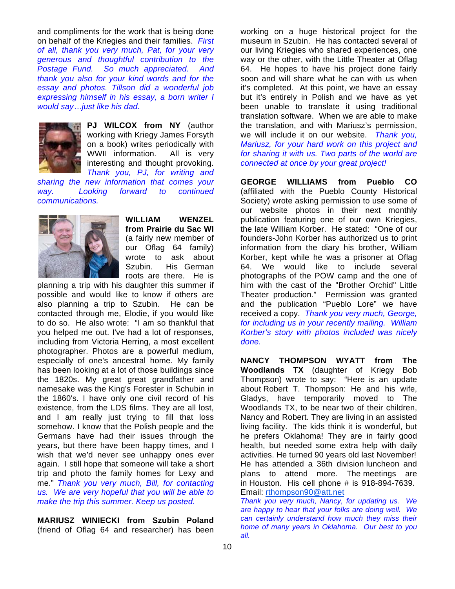and compliments for the work that is being done on behalf of the Kriegies and their families. *First of all, thank you very much, Pat, for your very generous and thoughtful contribution to the Postage Fund. So much appreciated. And thank you also for your kind words and for the essay and photos. Tillson did a wonderful job expressing himself in his essay, a born writer I would sayjust like his dad.* 



**PJ WILCOX from NY** (author working with Kriegy James Forsyth on a book) writes periodically with WWII information. All is very interesting and thought provoking. *Thank you, PJ, for writing and* 

*sharing the new information that comes your way. Looking forward to continued communications.*



**WILLIAM WENZEL from Prairie du Sac WI**  (a fairly new member of our Oflag 64 family) wrote to ask about Szubin. His German roots are there. He is

planning a trip with his daughter this summer if possible and would like to know if others are also planning a trip to Szubin. He can be contacted through me, Elodie, if you would like to do so. He also wrote: "I am so thankful that you helped me out. I've had a lot of responses, including from Victoria Herring, a most excellent photographer. Photos are a powerful medium, especially of one's ancestral home. My family has been looking at a lot of those buildings since the 1820s. My great great grandfather and namesake was the King's Forester in Schubin in the 1860's. I have only one civil record of his existence, from the LDS films. They are all lost, and I am really just trying to fill that loss somehow. I know that the Polish people and the Germans have had their issues through the years, but there have been happy times, and I wish that we'd never see unhappy ones ever again. I still hope that someone will take a short trip and photo the family homes for Lexy and me." *Thank you very much, Bill, for contacting us. We are very hopeful that you will be able to make the trip this summer. Keep us posted.*

**MARIUSZ WINIECKI from Szubin Poland** (friend of Oflag 64 and researcher) has been

working on a huge historical project for the museum in Szubin. He has contacted several of our living Kriegies who shared experiences, one way or the other, with the Little Theater at Oflag 64. He hopes to have his project done fairly soon and will share what he can with us when it's completed. At this point, we have an essay but it's entirely in Polish and we have as yet been unable to translate it using traditional translation software. When we are able to make the translation, and with Mariusz's permission, we will include it on our website. *Thank you, Mariusz, for your hard work on this project and for sharing it with us. Two parts of the world are connected at once by your great project!* 

**GEORGE WILLIAMS from Pueblo CO**  (affiliated with the Pueblo County Historical Society) wrote asking permission to use some of our website photos in their next monthly publication featuring one of our own Kriegies, the late William Korber. He stated: "One of our founders-John Korber has authorized us to print information from the diary his brother, William Korber, kept while he was a prisoner at Oflag 64. We would like to include several photographs of the POW camp and the one of him with the cast of the "Brother Orchid" Little Theater production." Permission was granted and the publication "Pueblo Lore" we have received a copy. *Thank you very much, George, for including us in your recently mailing. William Korber's story with photos included was nicely done.* 

**NANCY THOMPSON WYATT from The Woodlands TX** (daughter of Kriegy Bob Thompson) wrote to say: "Here is an update about Robert T. Thompson: He and his wife, Gladys, have temporarily moved to The Woodlands TX, to be near two of their children, Nancy and Robert. They are living in an assisted living facility. The kids think it is wonderful, but he prefers Oklahoma! They are in fairly good health, but needed some extra help with daily activities. He turned 90 years old last November! He has attended a 36th division luncheon and plans to attend more. The meetings are in Houston. His cell phone # is 918-894-7639. Email: rthompson90@att.net

*Thank you very much, Nancy, for updating us. We are happy to hear that your folks are doing well. We can certainly understand how much they miss their home of many years in Oklahoma. Our best to you all.*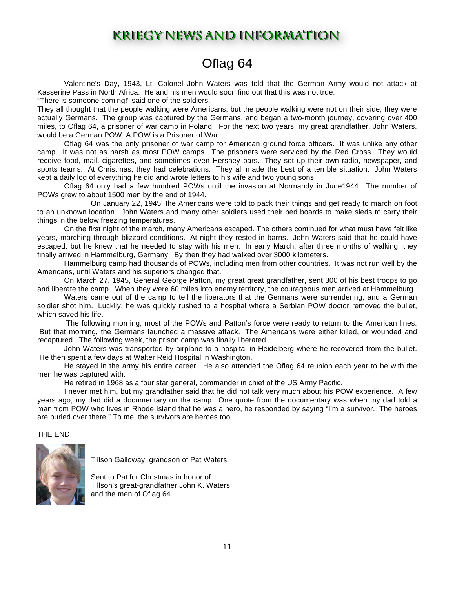## **KRIEGY NEWS AND INFORMATION**

## Oflag 64

 Valentine's Day, 1943, Lt. Colonel John Waters was told that the German Army would not attack at Kasserine Pass in North Africa. He and his men would soon find out that this was not true.

"There is someone coming!" said one of the soldiers.

They all thought that the people walking were Americans, but the people walking were not on their side, they were actually Germans. The group was captured by the Germans, and began a two-month journey, covering over 400 miles, to Oflag 64, a prisoner of war camp in Poland. For the next two years, my great grandfather, John Waters, would be a German POW. A POW is a Prisoner of War.

 Oflag 64 was the only prisoner of war camp for American ground force officers. It was unlike any other camp. It was not as harsh as most POW camps. The prisoners were serviced by the Red Cross. They would receive food, mail, cigarettes, and sometimes even Hershey bars. They set up their own radio, newspaper, and sports teams. At Christmas, they had celebrations. They all made the best of a terrible situation. John Waters kept a daily log of everything he did and wrote letters to his wife and two young sons.

 Oflag 64 only had a few hundred POWs until the invasion at Normandy in June1944. The number of POWs grew to about 1500 men by the end of 1944.

 On January 22, 1945, the Americans were told to pack their things and get ready to march on foot to an unknown location. John Waters and many other soldiers used their bed boards to make sleds to carry their things in the below freezing temperatures.

 On the first night of the march, many Americans escaped. The others continued for what must have felt like years, marching through blizzard conditions. At night they rested in barns. John Waters said that he could have escaped, but he knew that he needed to stay with his men. In early March, after three months of walking, they finally arrived in Hammelburg, Germany. By then they had walked over 3000 kilometers.

 Hammelburg camp had thousands of POWs, including men from other countries. It was not run well by the Americans, until Waters and his superiors changed that.

 On March 27, 1945, General George Patton, my great great grandfather, sent 300 of his best troops to go and liberate the camp. When they were 60 miles into enemy territory, the courageous men arrived at Hammelburg.

 Waters came out of the camp to tell the liberators that the Germans were surrendering, and a German soldier shot him. Luckily, he was quickly rushed to a hospital where a Serbian POW doctor removed the bullet, which saved his life.

 The following morning, most of the POWs and Patton's force were ready to return to the American lines. But that morning, the Germans launched a massive attack. The Americans were either killed, or wounded and recaptured. The following week, the prison camp was finally liberated.

 John Waters was transported by airplane to a hospital in Heidelberg where he recovered from the bullet. He then spent a few days at Walter Reid Hospital in Washington.

 He stayed in the army his entire career. He also attended the Oflag 64 reunion each year to be with the men he was captured with.

He retired in 1968 as a four star general, commander in chief of the US Army Pacific.

 I never met him, but my grandfather said that he did not talk very much about his POW experience. A few years ago, my dad did a documentary on the camp. One quote from the documentary was when my dad told a man from POW who lives in Rhode Island that he was a hero, he responded by saying "I'm a survivor. The heroes are buried over there." To me, the survivors are heroes too.

#### THE END



Tillson Galloway, grandson of Pat Waters

Sent to Pat for Christmas in honor of Tillson's great-grandfather John K. Waters and the men of Oflag 64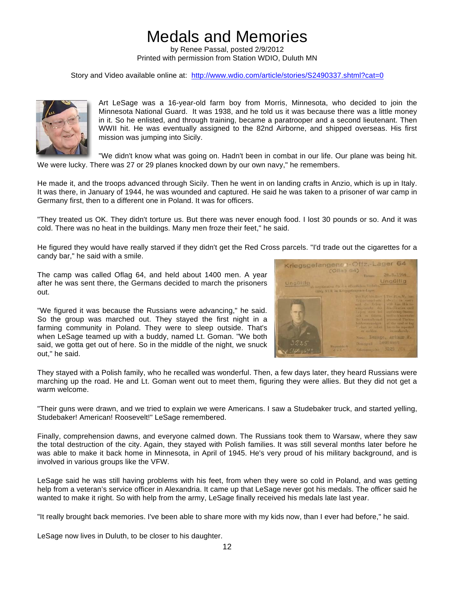## Medals and Memories

by Renee Passal, posted 2/9/2012 Printed with permission from Station WDIO, Duluth MN

Story and Video available online at: http://www.wdio.com/article/stories/S2490337.shtml?cat=0



Art LeSage was a 16-year-old farm boy from Morris, Minnesota, who decided to join the Minnesota National Guard. It was 1938, and he told us it was because there was a little money in it. So he enlisted, and through training, became a paratrooper and a second lieutenant. Then WWII hit. He was eventually assigned to the 82nd Airborne, and shipped overseas. His first mission was jumping into Sicily.

"We didn't know what was going on. Hadn't been in combat in our life. Our plane was being hit. We were lucky. There was 27 or 29 planes knocked down by our own navy." he remembers.

He made it, and the troops advanced through Sicily. Then he went in on landing crafts in Anzio, which is up in Italy. It was there, in January of 1944, he was wounded and captured. He said he was taken to a prisoner of war camp in Germany first, then to a different one in Poland. It was for officers.

"They treated us OK. They didn't torture us. But there was never enough food. I lost 30 pounds or so. And it was cold. There was no heat in the buildings. Many men froze their feet," he said.

He figured they would have really starved if they didn't get the Red Cross parcels. "I'd trade out the cigarettes for a candy bar," he said with a smile.

The camp was called Oflag 64, and held about 1400 men. A year after he was sent there, the Germans decided to march the prisoners out.

"We figured it was because the Russians were advancing," he said. So the group was marched out. They stayed the first night in a farming community in Poland. They were to sleep outside. That's when LeSage teamed up with a buddy, named Lt. Goman. "We both said, we gotta get out of here. So in the middle of the night, we snuck out," he said.



They stayed with a Polish family, who he recalled was wonderful. Then, a few days later, they heard Russians were marching up the road. He and Lt. Goman went out to meet them, figuring they were allies. But they did not get a warm welcome.

"Their guns were drawn, and we tried to explain we were Americans. I saw a Studebaker truck, and started yelling, Studebaker! American! Roosevelt!" LeSage remembered.

Finally, comprehension dawns, and everyone calmed down. The Russians took them to Warsaw, where they saw the total destruction of the city. Again, they stayed with Polish families. It was still several months later before he was able to make it back home in Minnesota, in April of 1945. He's very proud of his military background, and is involved in various groups like the VFW.

LeSage said he was still having problems with his feet, from when they were so cold in Poland, and was getting help from a veteran's service officer in Alexandria. It came up that LeSage never got his medals. The officer said he wanted to make it right. So with help from the army, LeSage finally received his medals late last year.

"It really brought back memories. I've been able to share more with my kids now, than I ever had before," he said.

LeSage now lives in Duluth, to be closer to his daughter.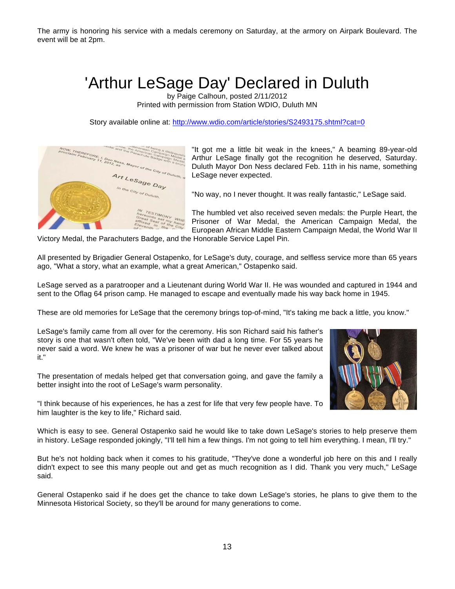The army is honoring his service with a medals ceremony on Saturday, at the armory on Airpark Boulevard. The event will be at 2pm.

## 'Arthur LeSage Day' Declared in Duluth

by Paige Calhoun, posted 2/11/2012 Printed with permission from Station WDIO, Duluth MN

Story available online at: http://www.wdio.com/article/stories/S2493175.shtml?cat=0



"It got me a little bit weak in the knees," A beaming 89-year-old Arthur LeSage finally got the recognition he deserved, Saturday. Duluth Mayor Don Ness declared Feb. 11th in his name, something LeSage never expected.

"No way, no I never thought. It was really fantastic," LeSage said.

The humbled vet also received seven medals: the Purple Heart, the Prisoner of War Medal, the American Campaign Medal, the European African Middle Eastern Campaign Medal, the World War II

Victory Medal, the Parachuters Badge, and the Honorable Service Lapel Pin.

All presented by Brigadier General Ostapenko, for LeSage's duty, courage, and selfless service more than 65 years ago, "What a story, what an example, what a great American," Ostapenko said.

LeSage served as a paratrooper and a Lieutenant during World War II. He was wounded and captured in 1944 and sent to the Oflag 64 prison camp. He managed to escape and eventually made his way back home in 1945.

These are old memories for LeSage that the ceremony brings top-of-mind, "It's taking me back a little, you know."

LeSage's family came from all over for the ceremony. His son Richard said his father's story is one that wasn't often told, "We've been with dad a long time. For 55 years he never said a word. We knew he was a prisoner of war but he never ever talked about it."

The presentation of medals helped get that conversation going, and gave the family a better insight into the root of LeSage's warm personality.



"I think because of his experiences, he has a zest for life that very few people have. To him laughter is the key to life," Richard said.

Which is easy to see. General Ostapenko said he would like to take down LeSage's stories to help preserve them in history. LeSage responded jokingly, "I'll tell him a few things. I'm not going to tell him everything. I mean, I'll try."

But he's not holding back when it comes to his gratitude, "They've done a wonderful job here on this and I really didn't expect to see this many people out and get as much recognition as I did. Thank you very much," LeSage said.

General Ostapenko said if he does get the chance to take down LeSage's stories, he plans to give them to the Minnesota Historical Society, so they'll be around for many generations to come.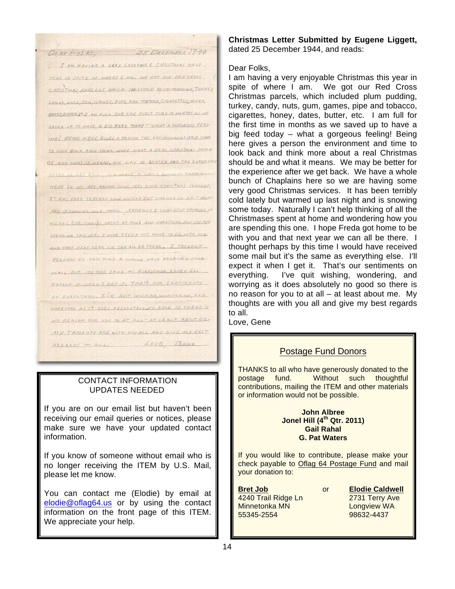25 DECEMBER 1944 DEAR FOLKS, I AM HAVING A VERY ENSOYABLE CHRISTANAS THIS. YEAR IN SPITE OF WHERE I AM. WE GOT OUR RED CROSS CHRISTIAS PARCELS WHICH TACLUDED RLUMPUDDING, TURKEY CANDY, LUTS, GUN, GAUES, PIPE AND TODACCO, CIGARETTES, HONEY, ONTES BUTTER BELT AN FULL FOR THE FIRST TIME IN MONTHS AS WE SAVED UP TO HAVE A BIG FEED TODAY - WHAT A GORGEOUS FEEL-ING! BEING HERE GIVES A PERSON THE ENVIRONMENT AND TIME TO LOOK BACK AND THINK MORE WHAT A REAL CHRISTMAS SHOULD BE AND WHAT IT MEANS, WE MAY BE BETTER FOR THE EXPERIENCE HERE SO WE ARE HAVING SOME VERY GOOD CHRISTMAS SERVICES. IT HAS BEEN TERRIBLY COLD LATELY BUT WARMED UP LAST MICHI AND IS SPONING SONE TODAY. NATURALLY I CAN'T HELP THINKING ALL THE CHRISTAIRIES SPENT AT HOUS AND WONDERING HOW YOU ARE SPENDING THIS ONE, I HAPE FREDA OCT HOUS TO BE WITH YOU. AND THAT NEXT YEAR WE CAN ALL BE THERE. I THOUGHT PERMANS BY THIS TIME & WOULD HAVE RECEIVED SOME MAIL BUT IT'S THE SAUE AS EVERYTHING ELSEF ILL EXPECT IT WHEN I GET IT. THAT'S OUR SENTIMENTS ON EVERYTHING, IVE QUIT WISHING WONDERING, AND WORRYING AS IT DOES ABSOLUTELY NO GOOD SO THERE'S NO REASON FOR YOU TO AT ALL- AT LEAST ABOUT ME. MY THOUGHTS ARE WITH YOU ALL AND GIVE MY REST. LOVE BENE RECARDE TA ALL.

#### CONTACT INFORMATION UPDATES NEEDED

If you are on our email list but haven't been receiving our email queries or notices, please make sure we have your updated contact information.

If you know of someone without email who is no longer receiving the ITEM by U.S. Mail, please let me know.

You can contact me (Elodie) by email at elodie@oflag64.us or by using the contact information on the front page of this ITEM. We appreciate your help.

#### **Christmas Letter Submitted by Eugene Liggett,** dated 25 December 1944, and reads:

#### Dear Folks,

I am having a very enjoyable Christmas this year in spite of where I am. We got our Red Cross Christmas parcels, which included plum pudding, turkey, candy, nuts, gum, games, pipe and tobacco, cigarettes, honey, dates, butter, etc. I am full for the first time in months as we saved up to have a big feed today – what a gorgeous feeling! Being here gives a person the environment and time to look back and think more about a real Christmas should be and what it means. We may be better for the experience after we get back. We have a whole bunch of Chaplains here so we are having some very good Christmas services. It has been terribly cold lately but warmed up last night and is snowing some today. Naturally I can't help thinking of all the Christmases spent at home and wondering how you are spending this one. I hope Freda got home to be with you and that next year we can all be there. I thought perhaps by this time I would have received some mail but it's the same as everything else. I'll expect it when I get it. That's our sentiments on everything. I've quit wishing, wondering, and worrying as it does absolutely no good so there is no reason for you to at all – at least about me. My thoughts are with you all and give my best regards to all.

Love, Gene

### Postage Fund Donors

THANKS to all who have generously donated to the postage fund. Without such thoughtful contributions, mailing the ITEM and other materials or information would not be possible.

#### **John Albree Jonel Hill (4th Qtr. 2011) Gail Rahal G. Pat Waters**

If you would like to contribute, please make your check payable to Oflag 64 Postage Fund and mail your donation to:

**Bret Job** or **Elodie Caldwell** 4240 Trail Ridge Ln 2731 Terry Ave Minnetonka MN Longview WA 55345-2554 98632-4437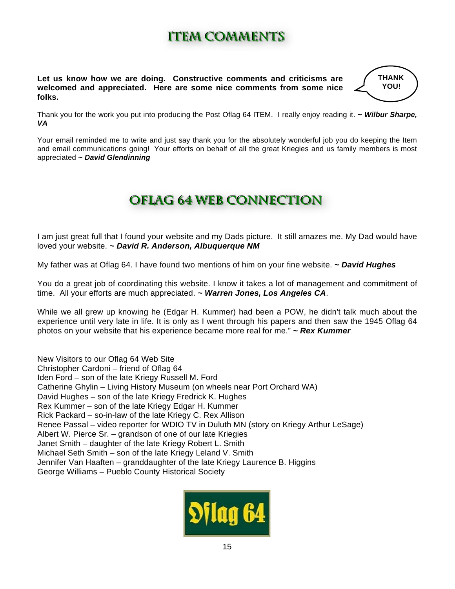# **IItteemmccoommmmeennttss**

**Let us know how we are doing. Constructive comments and criticisms are welcomed and appreciated. Here are some nice comments from some nice folks.** 

**THANK YOU!** 

Thank you for the work you put into producing the Post Oflag 64 ITEM. I really enjoy reading it. *~ Wilbur Sharpe, VA* 

Your email reminded me to write and just say thank you for the absolutely wonderful job you do keeping the Item and email communications going! Your efforts on behalf of all the great Kriegies and us family members is most appreciated *~ David Glendinning* 

# **OOffllaagg6644wweebb ccoonnnneeccttiioonn**

I am just great full that I found your website and my Dads picture. It still amazes me. My Dad would have loved your website. *~ David R. Anderson, Albuquerque NM*

My father was at Oflag 64. I have found two mentions of him on your fine website. *~ David Hughes* 

You do a great job of coordinating this website. I know it takes a lot of management and commitment of time. All your efforts are much appreciated. *~ Warren Jones, Los Angeles CA*.

While we all grew up knowing he (Edgar H. Kummer) had been a POW, he didn't talk much about the experience until very late in life. It is only as I went through his papers and then saw the 1945 Oflag 64 photos on your website that his experience became more real for me." *~ Rex Kummer* 

New Visitors to our Oflag 64 Web Site Christopher Cardoni – friend of Oflag 64 Iden Ford – son of the late Kriegy Russell M. Ford Catherine Ghylin – Living History Museum (on wheels near Port Orchard WA) David Hughes – son of the late Kriegy Fredrick K. Hughes Rex Kummer – son of the late Kriegy Edgar H. Kummer Rick Packard – so-in-law of the late Kriegy C. Rex Allison Renee Passal – video reporter for WDIO TV in Duluth MN (story on Kriegy Arthur LeSage) Albert W. Pierce Sr. – grandson of one of our late Kriegies Janet Smith – daughter of the late Kriegy Robert L. Smith Michael Seth Smith – son of the late Kriegy Leland V. Smith Jennifer Van Haaften – granddaughter of the late Kriegy Laurence B. Higgins George Williams – Pueblo County Historical Society

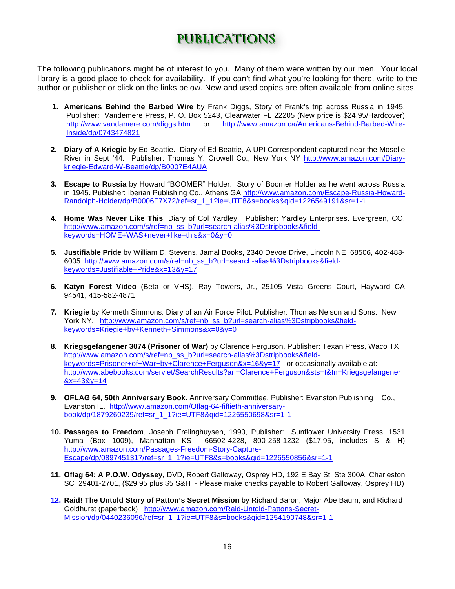# ppuudballiste ko

The following publications might be of interest to you. Many of them were written by our men. Your local library is a good place to check for availability. If you can't find what you're looking for there, write to the author or publisher or click on the links below. New and used copies are often available from online sites.

- **1. Americans Behind the Barbed Wire** by Frank Diggs, Story of Frank's trip across Russia in 1945. Publisher: Vandemere Press, P. O. Box 5243, Clearwater FL 22205 (New price is \$24.95/Hardcover) http://www.vandamere.com/diggs.htm or http://www.amazon.ca/Americans-Behind-Barbed-Wire-Inside/dp/0743474821
- **2. Diary of A Kriegie** by Ed Beattie. Diary of Ed Beattie, A UPI Correspondent captured near the Moselle River in Sept '44.Publisher: Thomas Y. Crowell Co., New York NY http://www.amazon.com/Diarykriegie-Edward-W-Beattie/dp/B0007E4AUA
- **3. Escape to Russia** by Howard "BOOMER" Holder. Story of Boomer Holder as he went across Russia in 1945. Publisher: Iberian Publishing Co., Athens GA http://www.amazon.com/Escape-Russia-Howard-Randolph-Holder/dp/B0006F7X72/ref=sr\_1\_1?ie=UTF8&s=books&qid=1226549191&sr=1-1
- **4. Home Was Never Like This**. Diary of Col Yardley. Publisher: Yardley Enterprises. Evergreen, CO. http://www.amazon.com/s/ref=nb\_ss\_b?url=search-alias%3Dstripbooks&fieldkeywords=HOME+WAS+never+like+this&x=0&y=0
- **5. Justifiable Pride** by William D. Stevens, Jamal Books, 2340 Devoe Drive, Lincoln NE 68506, 402-488- 6005 http://www.amazon.com/s/ref=nb\_ss\_b?url=search-alias%3Dstripbooks&fieldkeywords=Justifiable+Pride&x=13&y=17
- **6. Katyn Forest Video** (Beta or VHS). Ray Towers, Jr., 25105 Vista Greens Court, Hayward CA 94541, 415-582-4871
- **7. Kriegie** by Kenneth Simmons. Diary of an Air Force Pilot. Publisher: Thomas Nelson and Sons. New York NY. http://www.amazon.com/s/ref=nb\_ss\_b?url=search-alias%3Dstripbooks&fieldkeywords=Kriegie+by+Kenneth+Simmons&x=0&y=0
- **8. Kriegsgefangener 3074 (Prisoner of War)** by Clarence Ferguson. Publisher: Texan Press, Waco TX http://www.amazon.com/s/ref=nb\_ss\_b?url=search-alias%3Dstripbooks&fieldkeywords=Prisoner+of+War+by+Clarence+Ferguson&x=16&y=17 or occasionally available at: http://www.abebooks.com/servlet/SearchResults?an=Clarence+Ferguson&sts=t&tn=Kriegsgefangener  $&x=43&y=14$
- **9. OFLAG 64, 50th Anniversary Book**. Anniversary Committee. Publisher: Evanston Publishing Co., Evanston IL. http://www.amazon.com/Oflag-64-fiftieth-anniversarybook/dp/1879260239/ref=sr\_1\_1?ie=UTF8&qid=1226550698&sr=1-1
- **10. Passages to Freedom**, Joseph Frelinghuysen, 1990, Publisher: Sunflower University Press, 1531 Yuma (Box 1009), Manhattan KS 66502-4228, 800-258-1232 (\$17.95, includes S & H) http://www.amazon.com/Passages-Freedom-Story-Capture-Escape/dp/0897451317/ref=sr\_1\_1?ie=UTF8&s=books&qid=1226550856&sr=1-1
- **11. Oflag 64: A P.O.W. Odyssey**, DVD, Robert Galloway, Osprey HD, 192 E Bay St, Ste 300A, Charleston SC 29401-2701, (\$29.95 plus \$5 S&H - Please make checks payable to Robert Galloway, Osprey HD)
- **12. Raid! The Untold Story of Patton's Secret Mission** by Richard Baron, Major Abe Baum, and Richard Goldhurst (paperback) http://www.amazon.com/Raid-Untold-Pattons-Secret-Mission/dp/0440236096/ref=sr\_1\_1?ie=UTF8&s=books&qid=1254190748&sr=1-1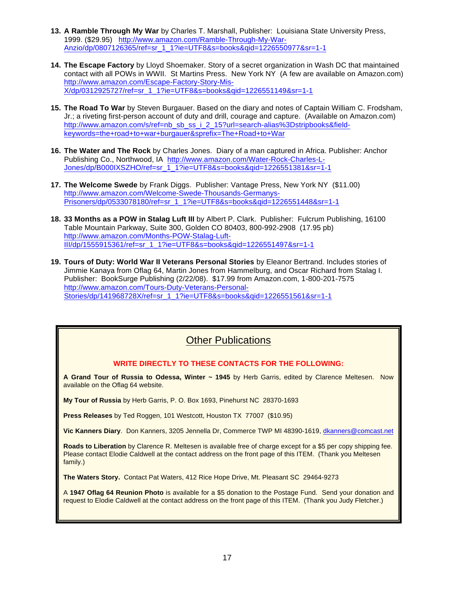- **13. A Ramble Through My War** by Charles T. Marshall, Publisher: Louisiana State University Press, 1999. (\$29.95) http://www.amazon.com/Ramble-Through-My-War-Anzio/dp/0807126365/ref=sr\_1\_1?ie=UTF8&s=books&qid=1226550977&sr=1-1
- **14. The Escape Factory** by Lloyd Shoemaker. Story of a secret organization in Wash DC that maintained contact with all POWs in WWII. St Martins Press. New York NY (A few are available on Amazon.com) http://www.amazon.com/Escape-Factory-Story-Mis-X/dp/0312925727/ref=sr\_1\_1?ie=UTF8&s=books&qid=1226551149&sr=1-1
- **15. The Road To War** by Steven Burgauer. Based on the diary and notes of Captain William C. Frodsham, Jr.; a riveting first-person account of duty and drill, courage and capture. (Available on Amazon.com) http://www.amazon.com/s/ref=nb\_sb\_ss\_i\_2\_15?url=search-alias%3Dstripbooks&fieldkeywords=the+road+to+war+burgauer&sprefix=The+Road+to+War
- **16. The Water and The Rock** by Charles Jones. Diary of a man captured in Africa. Publisher: Anchor Publishing Co., Northwood, IA http://www.amazon.com/Water-Rock-Charles-L-Jones/dp/B000IXSZHO/ref=sr\_1\_1?ie=UTF8&s=books&qid=1226551381&sr=1-1
- **17. The Welcome Swede** by Frank Diggs. Publisher: Vantage Press, New York NY (\$11.00) http://www.amazon.com/Welcome-Swede-Thousands-Germanys-Prisoners/dp/0533078180/ref=sr\_1\_1?ie=UTF8&s=books&qid=1226551448&sr=1-1
- **18. 33 Months as a POW in Stalag Luft III** by Albert P. Clark. Publisher: Fulcrum Publishing, 16100 Table Mountain Parkway, Suite 300, Golden CO 80403, 800-992-2908 (17.95 pb) http://www.amazon.com/Months-POW-Stalag-Luft-III/dp/1555915361/ref=sr\_1\_1?ie=UTF8&s=books&qid=1226551497&sr=1-1
- **19. Tours of Duty: World War II Veterans Personal Stories** by Eleanor Bertrand. Includes stories of Jimmie Kanaya from Oflag 64, Martin Jones from Hammelburg, and Oscar Richard from Stalag I. Publisher: BookSurge Publishing (2/22/08). \$17.99 from Amazon.com, 1-800-201-7575 http://www.amazon.com/Tours-Duty-Veterans-Personal-Stories/dp/141968728X/ref=sr\_1\_1?ie=UTF8&s=books&qid=1226551561&sr=1-1

### **Other Publications**

#### **WRITE DIRECTLY TO THESE CONTACTS FOR THE FOLLOWING:**

**A Grand Tour of Russia to Odessa, Winter ~ 1945** by Herb Garris, edited by Clarence Meltesen. Now available on the Oflag 64 website.

**My Tour of Russia** by Herb Garris, P. O. Box 1693, Pinehurst NC 28370-1693

**Press Releases** by Ted Roggen, 101 Westcott, Houston TX 77007 (\$10.95)

**Vic Kanners Diary**. Don Kanners, 3205 Jennella Dr, Commerce TWP MI 48390-1619, dkanners@comcast.net

**Roads to Liberation** by Clarence R. Meltesen is available free of charge except for a \$5 per copy shipping fee. Please contact Elodie Caldwell at the contact address on the front page of this ITEM. (Thank you Meltesen family.)

**The Waters Story.** Contact Pat Waters, 412 Rice Hope Drive, Mt. Pleasant SC 29464-9273

A **1947 Oflag 64 Reunion Photo** is available for a \$5 donation to the Postage Fund. Send your donation and request to Elodie Caldwell at the contact address on the front page of this ITEM. (Thank you Judy Fletcher.)